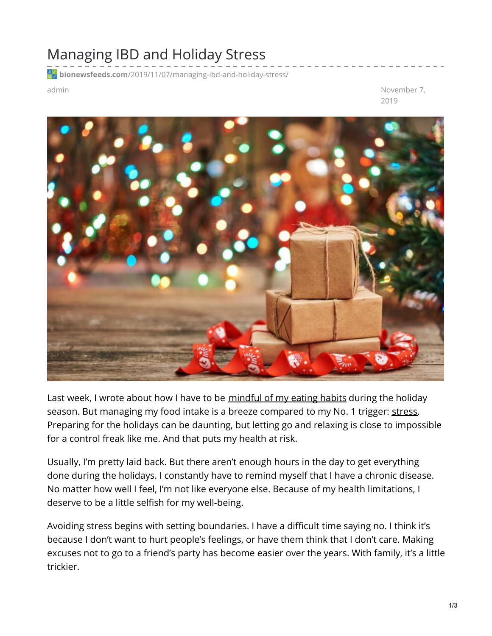## Managing IBD and Holiday Stress

**bionewsfeeds.com**[/2019/11/07/managing-ibd-and-holiday-stress/](https://bionewsfeeds.com/2019/11/07/managing-ibd-and-holiday-stress/)

admin November 7, 2019



Last week, I wrote about how I have to be [mindful](https://ibdnewstoday.com/2019/10/31/season-holidays-family-dinners-trigger-foods/) of my eating habits during the holiday season. But managing my food intake is a breeze compared to my No. 1 trigger: [stress](https://www.ncbi.nlm.nih.gov/pmc/articles/PMC1774724/). Preparing for the holidays can be daunting, but letting go and relaxing is close to impossible for a control freak like me. And that puts my health at risk.

Usually, I'm pretty laid back. But there aren't enough hours in the day to get everything done during the holidays. I constantly have to remind myself that I have a chronic disease. No matter how well I feel, I'm not like everyone else. Because of my health limitations, I deserve to be a little selfish for my well-being.

Avoiding stress begins with setting boundaries. I have a difficult time saying no. I think it's because I don't want to hurt people's feelings, or have them think that I don't care. Making excuses not to go to a friend's party has become easier over the years. With family, it's a little trickier.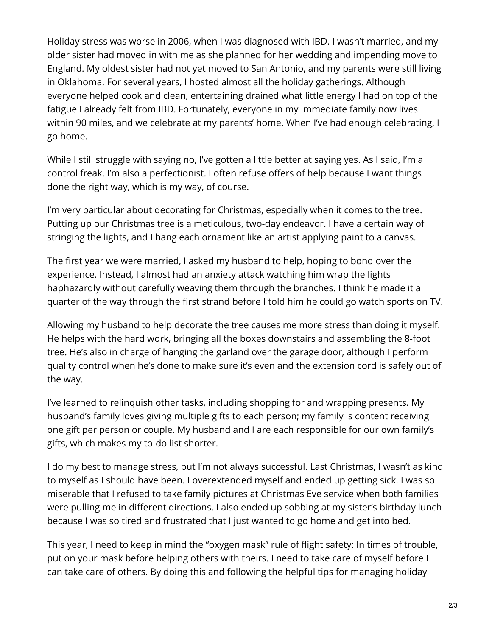Holiday stress was worse in 2006, when I was diagnosed with IBD. I wasn't married, and my older sister had moved in with me as she planned for her wedding and impending move to England. My oldest sister had not yet moved to San Antonio, and my parents were still living in Oklahoma. For several years, I hosted almost all the holiday gatherings. Although everyone helped cook and clean, entertaining drained what little energy I had on top of the fatigue I already felt from IBD. Fortunately, everyone in my immediate family now lives within 90 miles, and we celebrate at my parents' home. When I've had enough celebrating, I go home.

While I still struggle with saying no, I've gotten a little better at saying yes. As I said, I'm a control freak. I'm also a perfectionist. I often refuse offers of help because I want things done the right way, which is my way, of course.

I'm very particular about decorating for Christmas, especially when it comes to the tree. Putting up our Christmas tree is a meticulous, two-day endeavor. I have a certain way of stringing the lights, and I hang each ornament like an artist applying paint to a canvas.

The first year we were married, I asked my husband to help, hoping to bond over the experience. Instead, I almost had an anxiety attack watching him wrap the lights haphazardly without carefully weaving them through the branches. I think he made it a quarter of the way through the first strand before I told him he could go watch sports on TV.

Allowing my husband to help decorate the tree causes me more stress than doing it myself. He helps with the hard work, bringing all the boxes downstairs and assembling the 8-foot tree. He's also in charge of hanging the garland over the garage door, although I perform quality control when he's done to make sure it's even and the extension cord is safely out of the way.

I've learned to relinquish other tasks, including shopping for and wrapping presents. My husband's family loves giving multiple gifts to each person; my family is content receiving one gift per person or couple. My husband and I are each responsible for our own family's gifts, which makes my to-do list shorter.

I do my best to manage stress, but I'm not always successful. Last Christmas, I wasn't as kind to myself as I should have been. I overextended myself and ended up getting sick. I was so miserable that I refused to take family pictures at Christmas Eve service when both families were pulling me in different directions. I also ended up sobbing at my sister's birthday lunch because I was so tired and frustrated that I just wanted to go home and get into bed.

This year, I need to keep in mind the "oxygen mask" rule of flight safety: In times of trouble, put on your mask before helping others with theirs. I need to take care of myself before I can take care of others. By doing this and following the helpful tips for [managing](https://www.apa.org/helpcenter/holiday-stress) holiday